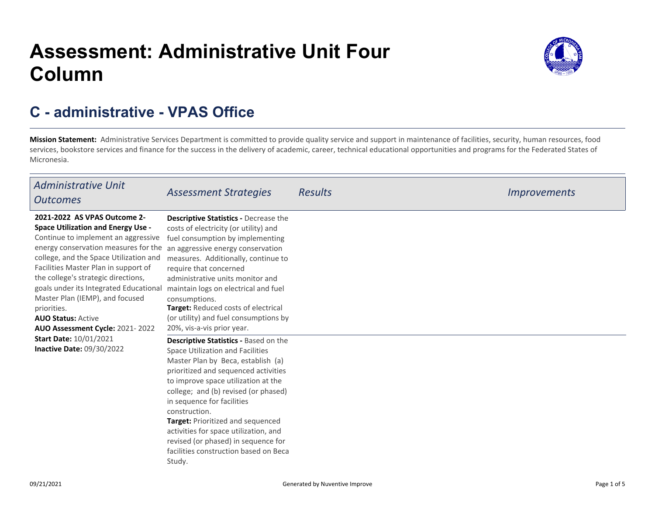# **Assessment: Administrative Unit FourColumn**



## **C - administrative - VPAS Office**

**Mission Statement:** Administrative Services Department is committed to provide quality service and support in maintenance of facilities, security, human resources, food services, bookstore services and finance for the success in the delivery of academic, career, technical educational opportunities and programs for the Federated States ofMicronesia.

| <b>Administrative Unit</b><br><b>Outcomes</b>                                                                                                                                                                                                                                                                                                                                                                                                                                                               | <b>Assessment Strategies</b>                                                                                                                                                                                                                                                                                                                                                                                                                                                        | <b>Results</b> | <i>Improvements</i> |
|-------------------------------------------------------------------------------------------------------------------------------------------------------------------------------------------------------------------------------------------------------------------------------------------------------------------------------------------------------------------------------------------------------------------------------------------------------------------------------------------------------------|-------------------------------------------------------------------------------------------------------------------------------------------------------------------------------------------------------------------------------------------------------------------------------------------------------------------------------------------------------------------------------------------------------------------------------------------------------------------------------------|----------------|---------------------|
| 2021-2022 AS VPAS Outcome 2-<br><b>Space Utilization and Energy Use -</b><br>Continue to implement an aggressive<br>energy conservation measures for the<br>college, and the Space Utilization and<br>Facilities Master Plan in support of<br>the college's strategic directions,<br>goals under its Integrated Educational<br>Master Plan (IEMP), and focused<br>priorities.<br><b>AUO Status: Active</b><br>AUO Assessment Cycle: 2021-2022<br><b>Start Date: 10/01/2021</b><br>Inactive Date: 09/30/2022 | Descriptive Statistics - Decrease the<br>costs of electricity (or utility) and<br>fuel consumption by implementing<br>an aggressive energy conservation<br>measures. Additionally, continue to<br>require that concerned<br>administrative units monitor and<br>maintain logs on electrical and fuel<br>consumptions.<br>Target: Reduced costs of electrical<br>(or utility) and fuel consumptions by<br>20%, vis-a-vis prior year.<br><b>Descriptive Statistics - Based on the</b> |                |                     |
|                                                                                                                                                                                                                                                                                                                                                                                                                                                                                                             | Space Utilization and Facilities<br>Master Plan by Beca, establish (a)<br>prioritized and sequenced activities<br>to improve space utilization at the<br>college; and (b) revised (or phased)<br>in sequence for facilities<br>construction.<br>Target: Prioritized and sequenced<br>activities for space utilization, and<br>revised (or phased) in sequence for<br>facilities construction based on Beca<br>Study.                                                                |                |                     |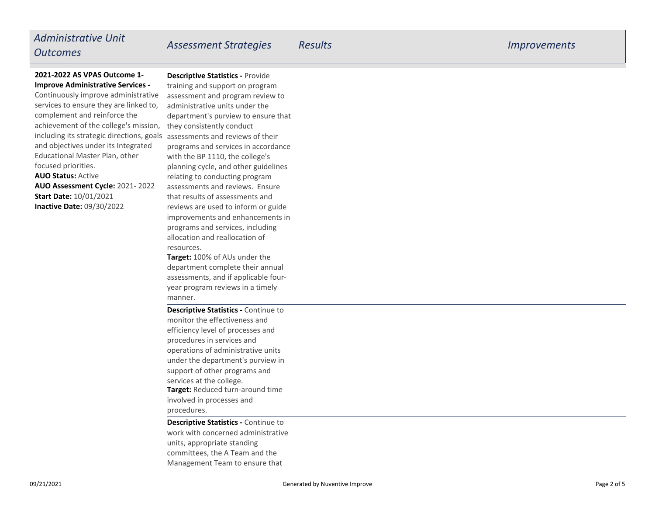## *Administrative UnitOutcomes*

**Descriptive Statistics -** Provide

## **2021-2022 AS VPAS Outcome 1-Improve Administrative Services -**

**AUO Status:** Active **AUO Assessment Cycle:** 2021- 2022**Inactive Date:** 09/30/2022 including its strategic directions, goals assessments and reviews of their Continuously improve administrative services to ensure they are linked to,complement and reinforce the achievement of the college's mission,and objectives under its IntegratedEducational Master Plan, otherfocused priorities.**Start Date:** 10/01/2021

 training and support on program assessment and program review toadministrative units under the department's purview to ensure thatthey consistently conduct programs and services in accordancewith the BP 1110, the college's planning cycle, and other guidelinesrelating to conducting program assessments and reviews. Ensurethat results of assessments and reviews are used to inform or guide improvements and enhancements inprograms and services, includingallocation and reallocation ofresources.

**Target:** 100% of AUs under the department complete their annualassessments, and if applicable fouryear program reviews in a timelymanner.

**Target:** Reduced turn-around time involved in processes andprocedures.**Descriptive Statistics -** Continue tomonitor the effectiveness and efficiency level of processes andprocedures in services and operations of administrative units under the department's purview insupport of other programs andservices at the college.

**Descriptive Statistics -** Continue to work with concerned administrativeunits, appropriate standing committees, the A Team and theManagement Team to ensure that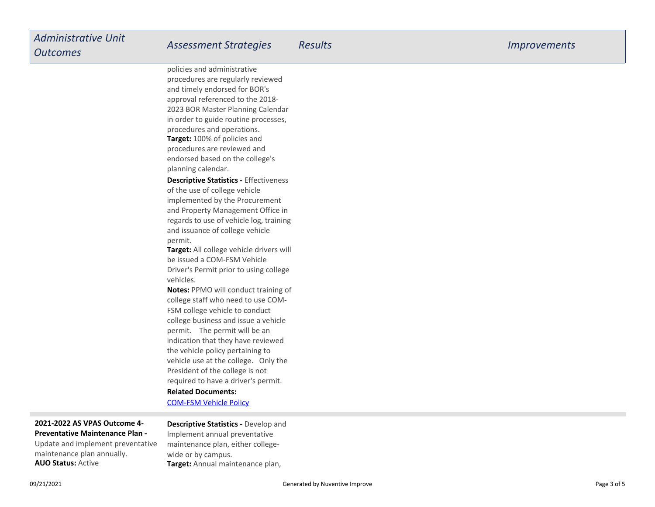**Target:** 100% of policies and procedures are reviewed and endorsed based on the college'splanning calendar.policies and administrative procedures are regularly reviewedand timely endorsed for BOR's approval referenced to the 2018- 2023 BOR Master Planning Calendar in order to guide routine processes,procedures and operations.

**Descriptive Statistics -** Effectivenessof the use of college vehicle implemented by the Procurement and Property Management Office in regards to use of vehicle log, trainingand issuance of college vehiclepermit.

**Target:** All college vehicle drivers will be issued a COM-FSM Vehicle Driver's Permit prior to using collegevehicles.

**Notes:** PPMO will conduct training ofcollege staff who need to use COM-FSM college vehicle to conduct college business and issue a vehiclepermit. The permit will be an indication that they have reviewedthe vehicle policy pertaining to vehicle use at the college. Only thePresident of the college is notrequired to have a driver's permit.

### **Related Documents:**

[COM-FSM Vehicle Policy](https://comfsm.tracdat.com:443/tracdat/viewDocument?y=fc4LtQKUZHoe)

## **2021-2022 AS VPAS Outcome 4-Preventative Maintenance Plan -**

**AUO Status:** ActiveUpdate and implement preventativemaintenance plan annually.

 **Target:** Annual maintenance plan, **Descriptive Statistics -** Develop andImplement annual preventative maintenance plan, either collegewide or by campus.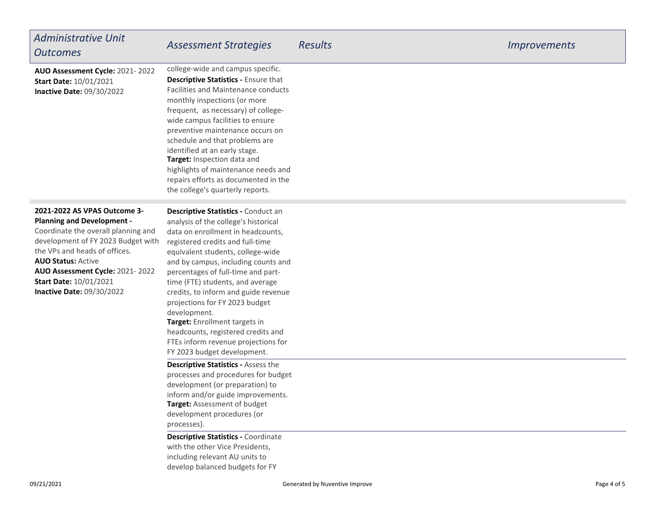| <b>Administrative Unit</b><br><b>Outcomes</b>                                                                                                                                                                                                                                                                        | <b>Assessment Strategies</b>                                                                                                                                                                                                                                                                                                                                                                                                                                                                                                                      | <b>Results</b> | <i><u><b>Improvements</b></u></i> |
|----------------------------------------------------------------------------------------------------------------------------------------------------------------------------------------------------------------------------------------------------------------------------------------------------------------------|---------------------------------------------------------------------------------------------------------------------------------------------------------------------------------------------------------------------------------------------------------------------------------------------------------------------------------------------------------------------------------------------------------------------------------------------------------------------------------------------------------------------------------------------------|----------------|-----------------------------------|
| AUO Assessment Cycle: 2021-2022<br><b>Start Date: 10/01/2021</b><br><b>Inactive Date: 09/30/2022</b>                                                                                                                                                                                                                 | college-wide and campus specific.<br><b>Descriptive Statistics - Ensure that</b><br>Facilities and Maintenance conducts<br>monthly inspections (or more<br>frequent, as necessary) of college-<br>wide campus facilities to ensure<br>preventive maintenance occurs on<br>schedule and that problems are<br>identified at an early stage.<br>Target: Inspection data and<br>highlights of maintenance needs and<br>repairs efforts as documented in the<br>the college's quarterly reports.                                                       |                |                                   |
| 2021-2022 AS VPAS Outcome 3-<br><b>Planning and Development -</b><br>Coordinate the overall planning and<br>development of FY 2023 Budget with<br>the VPs and heads of offices.<br><b>AUO Status: Active</b><br>AUO Assessment Cycle: 2021-2022<br><b>Start Date: 10/01/2021</b><br><b>Inactive Date: 09/30/2022</b> | Descriptive Statistics - Conduct an<br>analysis of the college's historical<br>data on enrollment in headcounts,<br>registered credits and full-time<br>equivalent students, college-wide<br>and by campus, including counts and<br>percentages of full-time and part-<br>time (FTE) students, and average<br>credits, to inform and guide revenue<br>projections for FY 2023 budget<br>development.<br>Target: Enrollment targets in<br>headcounts, registered credits and<br>FTEs inform revenue projections for<br>FY 2023 budget development. |                |                                   |
|                                                                                                                                                                                                                                                                                                                      | <b>Descriptive Statistics - Assess the</b><br>processes and procedures for budget<br>development (or preparation) to<br>inform and/or guide improvements.<br>Target: Assessment of budget<br>development procedures (or<br>processes).<br><b>Descriptive Statistics - Coordinate</b><br>with the other Vice Presidents,<br>including relevant AU units to<br>develop balanced budgets for FY                                                                                                                                                      |                |                                   |